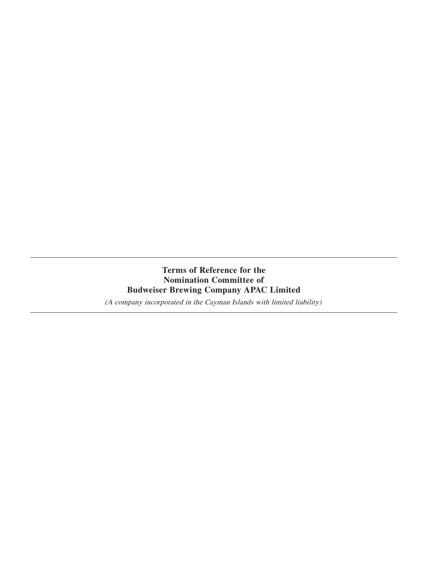# **Terms of Reference for the Nomination Committee of Budweiser Brewing Company APAC Limited**

(A company incorporated in the Cayman Islands with limited liability)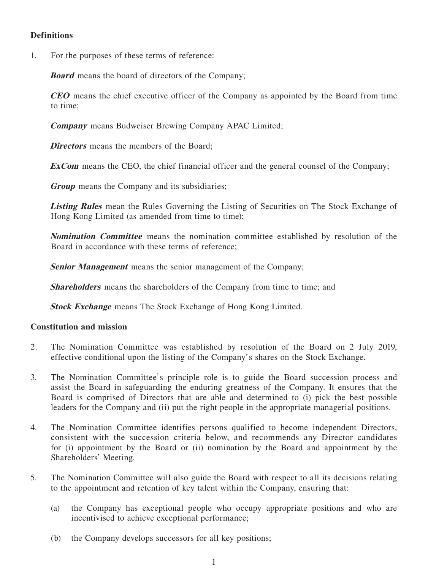# **Definitions**

1. For the purposes of these terms of reference:

**Board** means the board of directors of the Company;

**CEO** means the chief executive officer of the Company as appointed by the Board from time to time;

**Company** means Budweiser Brewing Company APAC Limited;

**Directors** means the members of the Board;

**ExCom** means the CEO, the chief financial officer and the general counsel of the Company;

**Group** means the Company and its subsidiaries;

**Listing Rules** mean the Rules Governing the Listing of Securities on The Stock Exchange of Hong Kong Limited (as amended from time to time);

**Nomination Committee** means the nomination committee established by resolution of the Board in accordance with these terms of reference;

**Senior Management** means the senior management of the Company;

**Shareholders** means the shareholders of the Company from time to time; and

**Stock Exchange** means The Stock Exchange of Hong Kong Limited.

#### **Constitution and mission**

- 2. The Nomination Committee was established by resolution of the Board on 2 July 2019, effective conditional upon the listing of the Company's shares on the Stock Exchange.
- 3. The Nomination Committee's principle role is to guide the Board succession process and assist the Board in safeguarding the enduring greatness of the Company. It ensures that the Board is comprised of Directors that are able and determined to (i) pick the best possible leaders for the Company and (ii) put the right people in the appropriate managerial positions.
- 4. The Nomination Committee identifies persons qualified to become independent Directors, consistent with the succession criteria below, and recommends any Director candidates for (i) appointment by the Board or (ii) nomination by the Board and appointment by the Shareholders' Meeting.
- 5. The Nomination Committee will also guide the Board with respect to all its decisions relating to the appointment and retention of key talent within the Company, ensuring that:
	- (a) the Company has exceptional people who occupy appropriate positions and who are incentivised to achieve exceptional performance;
	- (b) the Company develops successors for all key positions;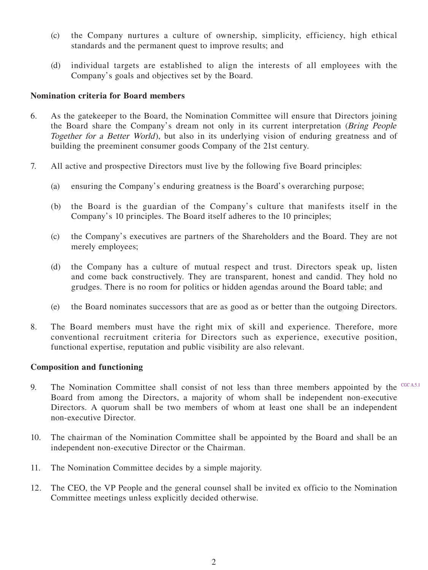- (c) the Company nurtures a culture of ownership, simplicity, efficiency, high ethical standards and the permanent quest to improve results; and
- (d) individual targets are established to align the interests of all employees with the Company's goals and objectives set by the Board.

### **Nomination criteria for Board members**

- 6. As the gatekeeper to the Board, the Nomination Committee will ensure that Directors joining the Board share the Company's dream not only in its current interpretation (Bring People Together for a Better World), but also in its underlying vision of enduring greatness and of building the preeminent consumer goods Company of the 21st century.
- 7. All active and prospective Directors must live by the following five Board principles:
	- (a) ensuring the Company's enduring greatness is the Board's overarching purpose;
	- (b) the Board is the guardian of the Company's culture that manifests itself in the Company's 10 principles. The Board itself adheres to the 10 principles;
	- (c) the Company's executives are partners of the Shareholders and the Board. They are not merely employees;
	- (d) the Company has a culture of mutual respect and trust. Directors speak up, listen and come back constructively. They are transparent, honest and candid. They hold no grudges. There is no room for politics or hidden agendas around the Board table; and
	- (e) the Board nominates successors that are as good as or better than the outgoing Directors.
- 8. The Board members must have the right mix of skill and experience. Therefore, more conventional recruitment criteria for Directors such as experience, executive position, functional expertise, reputation and public visibility are also relevant.

## **Composition and functioning**

- 9. The Nomination Committee shall consist of not less than three members appointed by the  $CGC(A,5)$ Board from among the Directors, a majority of whom shall be independent non-executive Directors. A quorum shall be two members of whom at least one shall be an independent non-executive Director.
- 10. The chairman of the Nomination Committee shall be appointed by the Board and shall be an independent non-executive Director or the Chairman.
- 11. The Nomination Committee decides by a simple majority.
- 12. The CEO, the VP People and the general counsel shall be invited ex officio to the Nomination Committee meetings unless explicitly decided otherwise.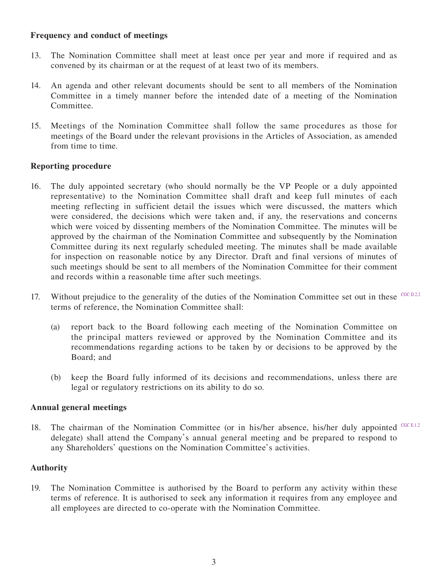### **Frequency and conduct of meetings**

- 13. The Nomination Committee shall meet at least once per year and more if required and as convened by its chairman or at the request of at least two of its members.
- 14. An agenda and other relevant documents should be sent to all members of the Nomination Committee in a timely manner before the intended date of a meeting of the Nomination Committee.
- 15. Meetings of the Nomination Committee shall follow the same procedures as those for meetings of the Board under the relevant provisions in the Articles of Association, as amended from time to time.

## **Reporting procedure**

- 16. The duly appointed secretary (who should normally be the VP People or a duly appointed representative) to the Nomination Committee shall draft and keep full minutes of each meeting reflecting in sufficient detail the issues which were discussed, the matters which were considered, the decisions which were taken and, if any, the reservations and concerns which were voiced by dissenting members of the Nomination Committee. The minutes will be approved by the chairman of the Nomination Committee and subsequently by the Nomination Committee during its next regularly scheduled meeting. The minutes shall be made available for inspection on reasonable notice by any Director. Draft and final versions of minutes of such meetings should be sent to all members of the Nomination Committee for their comment and records within a reasonable time after such meetings.
- 17. Without prejudice to the generality of the duties of the Nomination Committee set out in these <sup>CGC D.2.2</sup> terms of reference, the Nomination Committee shall:
	- (a) report back to the Board following each meeting of the Nomination Committee on the principal matters reviewed or approved by the Nomination Committee and its recommendations regarding actions to be taken by or decisions to be approved by the Board; and
	- (b) keep the Board fully informed of its decisions and recommendations, unless there are legal or regulatory restrictions on its ability to do so.

#### **Annual general meetings**

18. The chairman of the Nomination Committee (or in his/her absence, his/her duly appointed CGC E.1.2 delegate) shall attend the Company's annual general meeting and be prepared to respond to any Shareholders' questions on the Nomination Committee's activities.

## **Authority**

19. The Nomination Committee is authorised by the Board to perform any activity within these terms of reference. It is authorised to seek any information it requires from any employee and all employees are directed to co-operate with the Nomination Committee.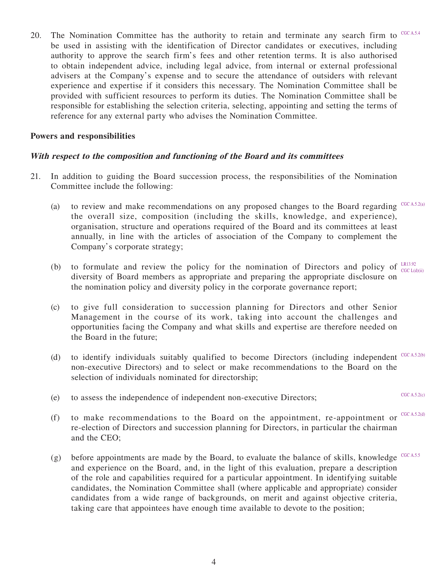20. The Nomination Committee has the authority to retain and terminate any search firm to  $CGC A.5.4$ be used in assisting with the identification of Director candidates or executives, including authority to approve the search firm's fees and other retention terms. It is also authorised to obtain independent advice, including legal advice, from internal or external professional advisers at the Company's expense and to secure the attendance of outsiders with relevant experience and expertise if it considers this necessary. The Nomination Committee shall be provided with sufficient resources to perform its duties. The Nomination Committee shall be responsible for establishing the selection criteria, selecting, appointing and setting the terms of reference for any external party who advises the Nomination Committee.

#### **Powers and responsibilities**

#### **With respect to the composition and functioning of the Board and its committees**

- 21. In addition to guiding the Board succession process, the responsibilities of the Nomination Committee include the following:
	- (a) to review and make recommendations on any proposed changes to the Board regarding  $C_{\text{GCA,5.2(a)}}$ the overall size, composition (including the skills, knowledge, and experience), organisation, structure and operations required of the Board and its committees at least annually, in line with the articles of association of the Company to complement the Company's corporate strategy;
	- (b) to formulate and review the policy for the nomination of Directors and policy of  $_{cscat}^{LR13.92}$ diversity of Board members as appropriate and preparing the appropriate disclosure on the nomination policy and diversity policy in the corporate governance report; CGC  $L(d)(ii)$
	- (c) to give full consideration to succession planning for Directors and other Senior Management in the course of its work, taking into account the challenges and opportunities facing the Company and what skills and expertise are therefore needed on the Board in the future;
	- (d) to identify individuals suitably qualified to become Directors (including independent  $CGC A, 5.2(b)$ non-executive Directors) and to select or make recommendations to the Board on the selection of individuals nominated for directorship;
	- (e) to assess the independence of independent non-executive Directors;
	- (f) to make recommendations to the Board on the appointment, re-appointment or  $CGC(A,5.2(d))$ re-election of Directors and succession planning for Directors, in particular the chairman and the CEO;
	- (g) before appointments are made by the Board, to evaluate the balance of skills, knowledge  $CGCA.5.5$ and experience on the Board, and, in the light of this evaluation, prepare a description of the role and capabilities required for a particular appointment. In identifying suitable candidates, the Nomination Committee shall (where applicable and appropriate) consider candidates from a wide range of backgrounds, on merit and against objective criteria, taking care that appointees have enough time available to devote to the position;

CGC A.5.2(c)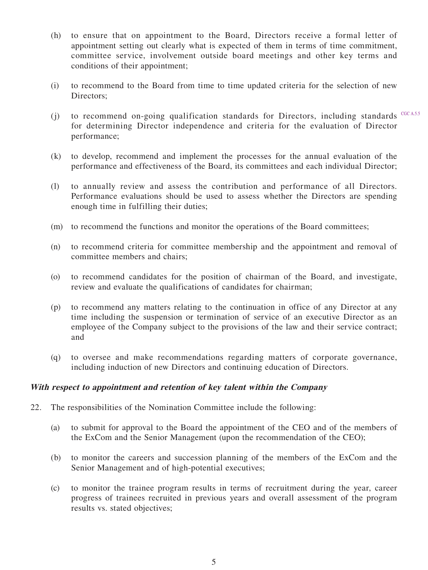- (h) to ensure that on appointment to the Board, Directors receive a formal letter of appointment setting out clearly what is expected of them in terms of time commitment, committee service, involvement outside board meetings and other key terms and conditions of their appointment;
- (i) to recommend to the Board from time to time updated criteria for the selection of new Directors:
- $(j)$  to recommend on-going qualification standards for Directors, including standards  $CGCA.5.5$ for determining Director independence and criteria for the evaluation of Director performance;
- (k) to develop, recommend and implement the processes for the annual evaluation of the performance and effectiveness of the Board, its committees and each individual Director;
- (l) to annually review and assess the contribution and performance of all Directors. Performance evaluations should be used to assess whether the Directors are spending enough time in fulfilling their duties;
- (m) to recommend the functions and monitor the operations of the Board committees;
- (n) to recommend criteria for committee membership and the appointment and removal of committee members and chairs;
- (o) to recommend candidates for the position of chairman of the Board, and investigate, review and evaluate the qualifications of candidates for chairman;
- (p) to recommend any matters relating to the continuation in office of any Director at any time including the suspension or termination of service of an executive Director as an employee of the Company subject to the provisions of the law and their service contract; and
- (q) to oversee and make recommendations regarding matters of corporate governance, including induction of new Directors and continuing education of Directors.

#### **With respect to appointment and retention of key talent within the Company**

- 22. The responsibilities of the Nomination Committee include the following:
	- (a) to submit for approval to the Board the appointment of the CEO and of the members of the ExCom and the Senior Management (upon the recommendation of the CEO);
	- (b) to monitor the careers and succession planning of the members of the ExCom and the Senior Management and of high-potential executives;
	- (c) to monitor the trainee program results in terms of recruitment during the year, career progress of trainees recruited in previous years and overall assessment of the program results vs. stated objectives;